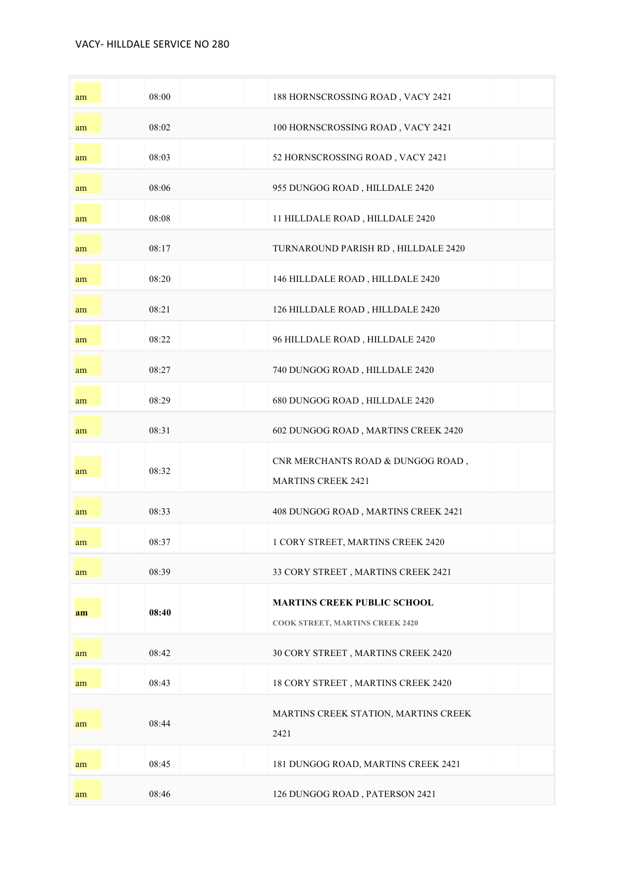| am | 08:00 | 188 HORNSCROSSING ROAD, VACY 2421                                     |
|----|-------|-----------------------------------------------------------------------|
| am | 08:02 | 100 HORNSCROSSING ROAD, VACY 2421                                     |
| am | 08:03 | 52 HORNSCROSSING ROAD, VACY 2421                                      |
| am | 08:06 | 955 DUNGOG ROAD, HILLDALE 2420                                        |
| am | 08:08 | 11 HILLDALE ROAD, HILLDALE 2420                                       |
| am | 08:17 | TURNAROUND PARISH RD, HILLDALE 2420                                   |
| am | 08:20 | 146 HILLDALE ROAD, HILLDALE 2420                                      |
| am | 08:21 | 126 HILLDALE ROAD, HILLDALE 2420                                      |
| am | 08:22 | 96 HILLDALE ROAD, HILLDALE 2420                                       |
| am | 08:27 | 740 DUNGOG ROAD, HILLDALE 2420                                        |
| am | 08:29 | 680 DUNGOG ROAD, HILLDALE 2420                                        |
| am | 08:31 | 602 DUNGOG ROAD, MARTINS CREEK 2420                                   |
| am | 08:32 | CNR MERCHANTS ROAD & DUNGOG ROAD,<br><b>MARTINS CREEK 2421</b>        |
| am | 08:33 | 408 DUNGOG ROAD, MARTINS CREEK 2421                                   |
| am | 08:37 | 1 CORY STREET, MARTINS CREEK 2420                                     |
| am | 08:39 | 33 CORY STREET, MARTINS CREEK 2421                                    |
| am | 08:40 | <b>MARTINS CREEK PUBLIC SCHOOL</b><br>COOK STREET, MARTINS CREEK 2420 |
| am | 08:42 | 30 CORY STREET, MARTINS CREEK 2420                                    |
| am | 08:43 | 18 CORY STREET, MARTINS CREEK 2420                                    |
| am | 08:44 | MARTINS CREEK STATION, MARTINS CREEK<br>2421                          |
| am | 08:45 | 181 DUNGOG ROAD, MARTINS CREEK 2421                                   |
| am | 08:46 | 126 DUNGOG ROAD, PATERSON 2421                                        |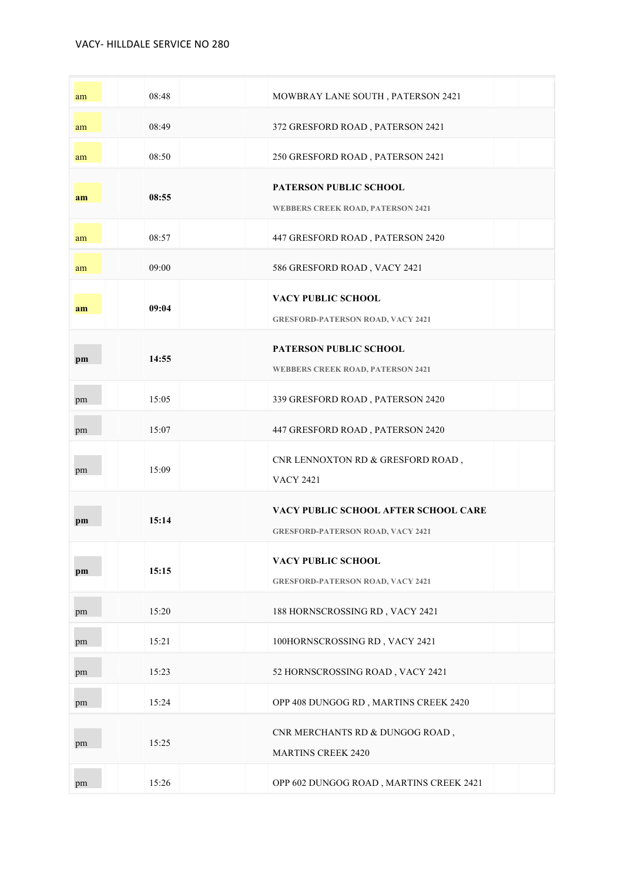| am | 08:48 | MOWBRAY LANE SOUTH, PATERSON 2421                                                |
|----|-------|----------------------------------------------------------------------------------|
| am | 08:49 | 372 GRESFORD ROAD, PATERSON 2421                                                 |
| am | 08:50 | 250 GRESFORD ROAD, PATERSON 2421                                                 |
| am | 08:55 | PATERSON PUBLIC SCHOOL<br><b>WEBBERS CREEK ROAD, PATERSON 2421</b>               |
| am | 08:57 | 447 GRESFORD ROAD, PATERSON 2420                                                 |
| am | 09:00 | 586 GRESFORD ROAD, VACY 2421                                                     |
| am | 09:04 | <b>VACY PUBLIC SCHOOL</b><br><b>GRESFORD-PATERSON ROAD, VACY 2421</b>            |
| pm | 14:55 | <b>PATERSON PUBLIC SCHOOL</b><br><b>WEBBERS CREEK ROAD, PATERSON 2421</b>        |
| pm | 15:05 | 339 GRESFORD ROAD, PATERSON 2420                                                 |
| pm | 15:07 | 447 GRESFORD ROAD, PATERSON 2420                                                 |
|    |       |                                                                                  |
| pm | 15:09 | CNR LENNOXTON RD & GRESFORD ROAD,<br><b>VACY 2421</b>                            |
| pm | 15:14 | VACY PUBLIC SCHOOL AFTER SCHOOL CARE<br><b>GRESFORD-PATERSON ROAD, VACY 2421</b> |
| pm | 15:15 | VACY PUBLIC SCHOOL<br><b>GRESFORD-PATERSON ROAD, VACY 2421</b>                   |
| pm | 15:20 | 188 HORNSCROSSING RD, VACY 2421                                                  |
| pm | 15:21 | 100HORNSCROSSING RD, VACY 2421                                                   |
| pm | 15:23 | 52 HORNSCROSSING ROAD, VACY 2421                                                 |
| pm | 15:24 | OPP 408 DUNGOG RD, MARTINS CREEK 2420                                            |
| pm | 15:25 | CNR MERCHANTS RD & DUNGOG ROAD,<br><b>MARTINS CREEK 2420</b>                     |